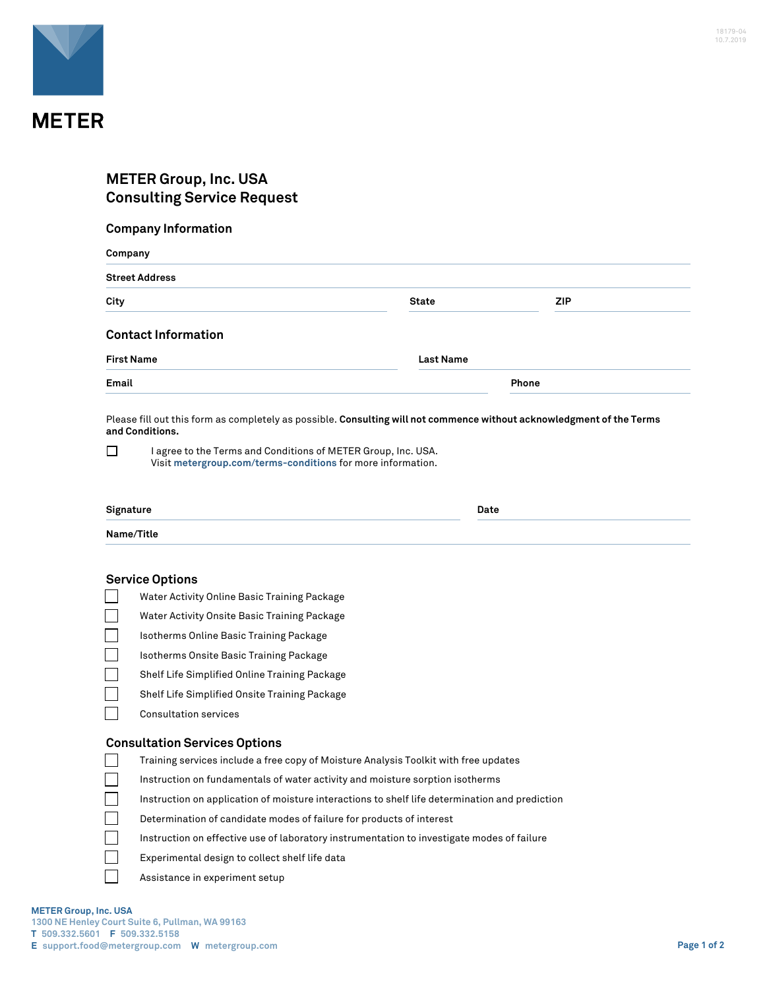

# **METER Group, Inc. USA Consulting Service Request**

## **Company Information**

| Company<br><b>Street Address</b> |                  |       |  |  |
|----------------------------------|------------------|-------|--|--|
|                                  |                  |       |  |  |
| <b>Contact Information</b>       |                  |       |  |  |
| <b>First Name</b>                | <b>Last Name</b> |       |  |  |
| Email                            |                  | Phone |  |  |

Please fill out this form as completely as possible. **Consulting will not commence without acknowledgment of the Terms and Conditions.**

 $\Box$ I agree to the Terms and Conditions of METER Group, Inc. USA. Visit **[metergroup.com/terms-conditions](https://www.metergroup.com/terms-conditions)** for more information.

| Signature  | Date<br>. |
|------------|-----------|
| Name/Title |           |

#### **Service Options**

- Water Activity Online Basic Training Package
- ٦ Water Activity Onsite Basic Training Package
- Isotherms Online Basic Training Package
- Isotherms Onsite Basic Training Package
- Shelf Life Simplified Online Training Package
- Shelf Life Simplified Onsite Training Package
- $\Box$ Consultation services

#### **Consultation Services Options**

- Training services include a free copy of Moisture Analysis Toolkit with free updates
- Instruction on fundamentals of water activity and moisture sorption isotherms
- Instruction on application of moisture interactions to shelf life determination and prediction
- Determination of candidate modes of failure for products of interest
- Instruction on effective use of laboratory instrumentation to investigate modes of failure
- Experimental design to collect shelf life data
- Assistance in experiment setup

 $\Box$ 

 $\blacksquare$  $\Box$  $\mathbb{R}^n$  $\Box$  $\Box$ 

**E support.food@metergroup.com W metergroup.com Page 1 of 2**